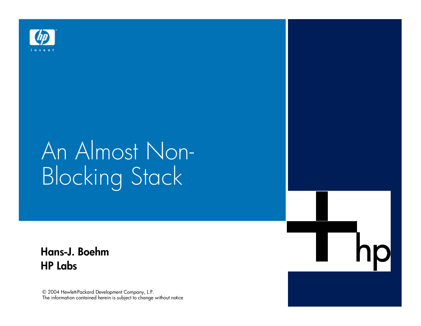

# An Almost Non-Blocking Stack

Hans-J. Boehm *HP Labs*

© 2004 Hewlett-Packard Development Company, L.P. The information contained herein is subject to change without notice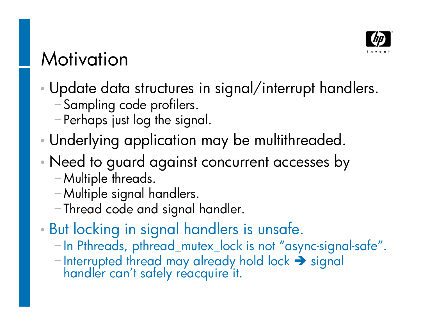

#### Motivation

- Update data structures in signal/interrupt handlers.
	- Sampling code profilers.
	- Perhaps just log the signal.
- Underlying application may be multithreaded.
- Need to guard against concurrent accesses by
	- Multiple threads.
	- Multiple signal handlers.
	- Thread code and signal handler.
- But locking in signal handlers is unsafe.
	- In Pthreads, pthread\_mutex\_lock is not "async-signal-safe".
	- $-$ Interrupted thread may already hold lock  $\rightarrow$  signal handler can't safely reacquire it.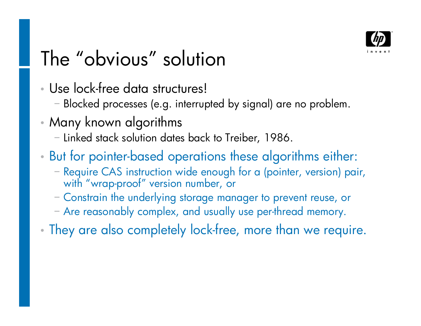

### The "obvious" solution

- Use lock-free data structures!
	- Blocked processes (e.g. interrupted by signal) are no problem.
- Many known algorithms
	- Linked stack solution dates back to Treiber, 1986.
- But for pointer-based operations these algorithms either:
	- Require CAS instruction wide enough for a (pointer, version) pair, with "wrap-proof" version number, or
	- Constrain the underlying storage manager to prevent reuse, or
	- Are reasonably complex, and usually use per-thread memory.
- They are also completely lock-free, more than we require.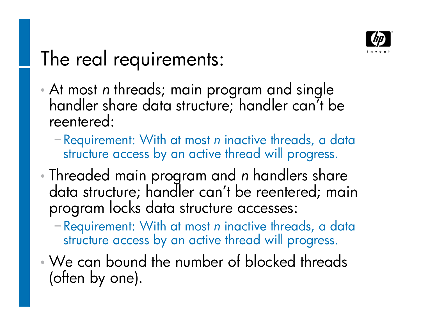

### The real requirements:

- At most *n* threads; main program and single handler share data structure; handler can't be reentered:
	- Requirement: With at most *n* inactive threads, a data structure access by an active thread will progress.
- Threaded main program and *n* handlers share data structure; handler can't be reentered; main program locks data structure accesses:
	- Requirement: With at most *n* inactive threads, a data structure access by an active thread will progress.
- We can bound the number of blocked threads (often by one).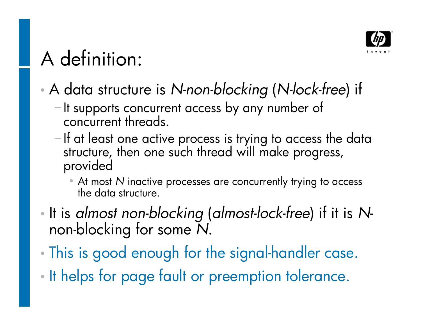

## A definition:

A data structure is *N-non-blocking* (*N-lock-free*) if

- It supports concurrent access by any number of concurrent threads.
- $-I$ f at least one active process is trying to access the data structure, then one such thread will make progress, provided
	- At most *N* inactive processes are concurrently trying to access the data structure.
- It is *almost non-blocking* (*almost-lock-free*) if it is *N*non-blocking for some *N*.
- This is good enough for the signal-handler case.
- It helps for page fault or preemption tolerance.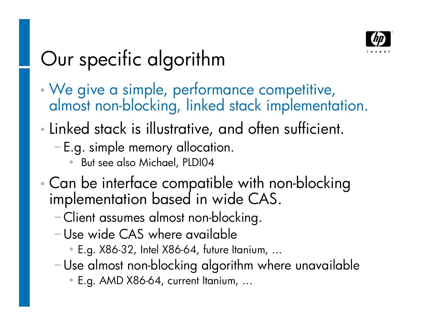

### Our specific algorithm

- We give a simple, performance competitive, almost non-blocking, linked stack implementation.
- Linked stack is illustrative, and often sufficient.
	- E.g. simple memory allocation.
		- But see also Michael, PLDI04
- Can be interface compatible with non-blocking implementation based in wide CAS.
	- Client assumes almost non-blocking.
	- Use wide CAS where available
		- E.g. X86-32, Intel X86-64, future Itanium,
	- Use almost non-blocking algorithm where unavailable
		- **E.g. AMD X86-64, current Itanium, ...**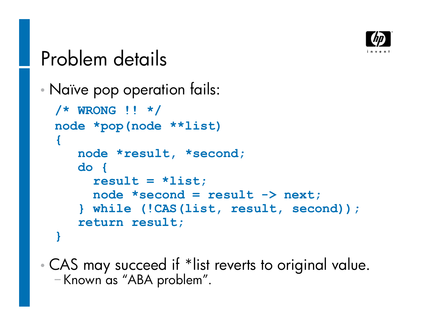

### Problem details

```
 Naïve pop operation fails:
```

```
/* WRONG !! */
node *pop(node **list)
{
   node *result, *second;
   do {
     result = *list;
     node *second = result -> next;
   } while (!CAS(list, result, second));
   return result;
}
```
 CAS may succeed if \*list reverts to original value. -Known as "ABA problem".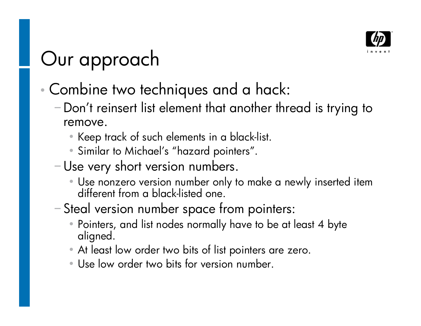

### Our approach

- Combine two techniques and a hack:
	- Don't reinsert list element that another thread is trying to remove.
		- Keep track of such elements in a black-list.
		- Similar to Michael's "hazard pointers".
	- Use very short version numbers.
		- Use nonzero version number only to make a newly inserted item different from a black-listed one.
	- Steal version number space from pointers:
		- Pointers, and list nodes normally have to be at least 4 byte aligned.
		- At least low order two bits of list pointers are zero.
		- Use low order two bits for version number.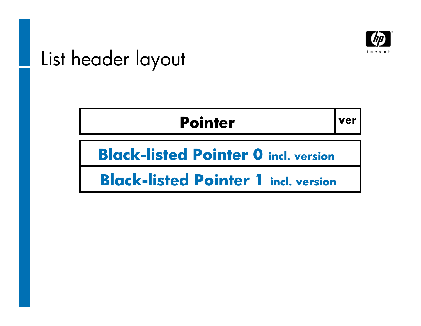

### List header layout

#### **Pointer** ver

**Black-listed Pointer 0 incl. version**

**Black-listed Pointer 1 incl. version**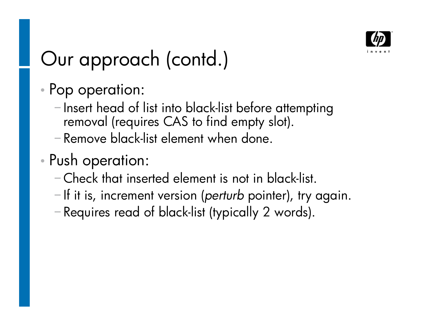

### Our approach (contd.)

- Pop operation:
	- Insert head of list into black-list before attempting removal (requires CAS to find empty slot).
	- Remove black-list element when done.
- Push operation:
	- Check that inserted element is not in black-list.
	- -If it is, increment version (*perturb* pointer), try again.
	- Requires read of black-list (typically 2 words).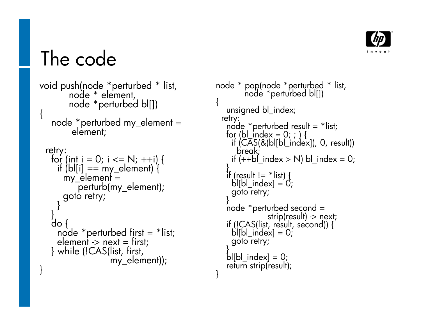

#### The code

```
void push(node *perturbed * list,
       node * element,
       node *perturbed bl[])
\{node *perturbed my_element =
        element;
 retry:
  for (int i = 0; i <= N; ++i) {
    if (b)[i] == my_e dement) {
      my_element =perturb(my_element);
      goto retry;
    }
   }
   do {
    node * perturbed first = *list;
    element -> next = first;
  } while (!CAS(list, first,
                 my_element));
}
```

```
node * pop(node *perturbed * list,
        node *perturbed bl[])
{
   unsigned bl_index;
 retry:
   node *perturbed result = *list;
   for (bl_index = 0; ; ) {
    if (CAS(&(bl[bl_index]), 0, result))
      break;
    if (++b') index > N) bl_index = 0;
   }
   if (result != *list)b[bl index] = 0;
    goto retry;
   }
   node *perturbed second =
               strip(result) -> next;
   if (!CAS(list, result, second)) {
    b|[bl_index] = 0;
    goto retry;
   }
   bl[bl_index] = 0;
   return strip(result);
}
```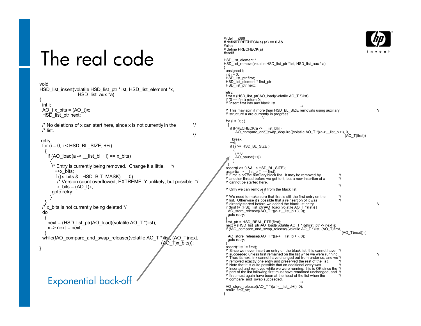#### The real code

```
void
HSD_list_insert(volatile HSD_list_ptr *list, HSD_list_element *x,
                  HSD list aux *a)
{
 int i;
 AO tx bits = (AO t)x;
 H\overline{SD} list ptr next;
 \prime^* No deletions of x can start here, since x is not currently in the \prime/* list.
                                                                             */
retry:
 for (i = 0; i < HSD BL SIZE; ++i)
   {
    if (AO load(a -> list bl + i) == x bits)
     {
     /* Entry is currently being removed. Change it a little. */
       ++x_bits;
       if ((x \text{ bits } 8 HSD BIT MASK) == 0)
        /* Version count overflowed; EXTREMELY unlikely, but possible. */
        x bits = (AO_t)x;
      goto retry;
     }
   }
 \frac{1}{2} x bits is not currently being deleted \frac{1}{2}do
   {
    next = (HSD list ptr)AO load((volatile AO T^*)list);
    x \rightarrow next = next;
   }
 while(!AO_compare_and_swap_release((volatile AO_T *)list, (AO_T)next,
                                                             (AO_T)x_bits));
}
    Exponential back-off
```
#ifdef i386 # define PRECHECK(a) (a) == 0 && #else # define PRECHECK(a) #endif HSD\_list\_element \* HSD<sup>-</sup>list<sup>-</sup>remove(volatile HSD\_list\_ptr \*list, HSD\_list\_aux \* a) { unsigned i; int  $j = 0$ ; HSD\_list\_ptr first: HSD\_list\_element \* first\_ptr; HSD<sup>-</sup>list<sup>-</sup>ptr next; retry: first = (HSD list ptr)AO load((volatile AO  $T$  \*)list); if  $(0 == first)$  return 0; /\* Insert first into aux black list. \*/ /\* This may spin if more than HSD\_BL\_SIZE removals using auxiliary \*/ /\* structure a are currently in progress. \*/ for  $(i = 0; ; )$ { if (PRECHECK(a -> list\_bl[i]) AO\_compare\_and\_swap\_acquire((volatile AO\_T \*)(a-> \_list\_bl+i), 0 (AO\_T)first)) break; ++i; if  $(i == HSD$  BL SIZE ) {  $i = 0$ : AO  $p$ ause $(++j)$ ; } } assert(i >= 0 && i < HSD\_BL\_SIZE); assert(a -> \_\_list\_bl[i] == first);<br>/\* First is on the auxiliary black list. It may be removed by \*/  $\frac{1}{2}$  another thread before we get to it, but a new insertion of x  $\frac{1}{2}$ /\* cannot be started here. \*/ /\* Only we can remove it from the black list. \*/ /\* We need to make sure that first is still the first entry on the  $\frac{\ast}{\ell}$  list Otherwise it's possible that a reinsertion of it was /\* list. Otherwise it's possible that a reinsertion of it was \*/ /\* already started before we added the black list entry. \*/ if (first != (HSD\_list\_ptr)AO\_load((volatile AO\_T \*)list)) { AO\_store\_release((AO\_T \*)(a->\_\_list\_bl+i), 0);  $got\overline{o}$  retry; } first\_ptr = HSD\_REAL\_PTR(first); next = (HSD\_list\_ptr)AO\_load((volatile AO\_T \*)&(first\_ptr -> next) if (!AO\_compare\_and\_swap\_release((volatile AO\_T \*)list, (AO\_T)first,  $(AO$  T)next)) { AO\_store\_release((AO\_T \*)(a->\_\_list\_bl+i), 0);  $got\overline{o}$  retry; } assert(\*list != first); /\* Since we never insert an entry on the black list, this cannot have \*/ succeeded unless first remained on the list while we were running.  $*$ / /\* Thus its next link cannot have changed out from under us, and we\*/  $\prime$ \* removed exactly one entry and preserved the rest of the list.  $/*$  Note that it is quite possible that an additional entry was /\* inserted and removed while we were running; this is OK since the \*/ /\* part of the list following first must have remained unchanged, and \*/  $/$ \* first must again have been at the head of the list when the /\* compare\_and\_swap succeeded. \*/ AO\_store\_release((AO\_T \*)(a->\_\_list\_bl+i), 0); return first\_ptr;

}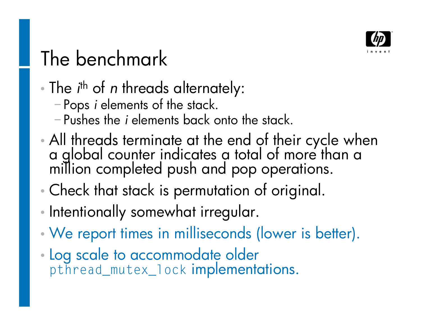

## The benchmark

- The *i*<sup>th</sup> of *n* threads alternately:
	- Pops *i* elements of the stack.
	- Pushes the *i* elements back onto the stack.
- All threads terminate at the end of their cycle when a global counter indicates a total of more than a million completed push and pop operations.
- Check that stack is permutation of original.
- Intentionally somewhat irregular.
- We report times in milliseconds (lower is better).
- Log scale to accommodate older **pthread\_mutex\_lock** implementations.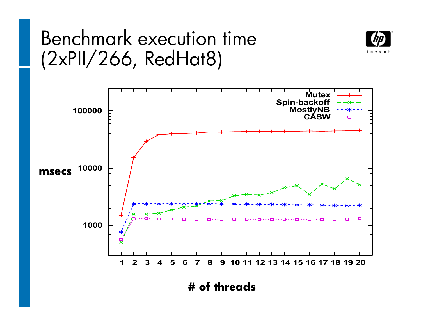#### Benchmark execution time (2xPII/266, RedHat8)





**# of threads**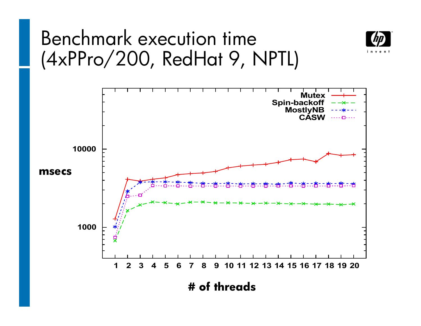#### Benchmark execution time (4xPPro/200, RedHat 9, NPTL)



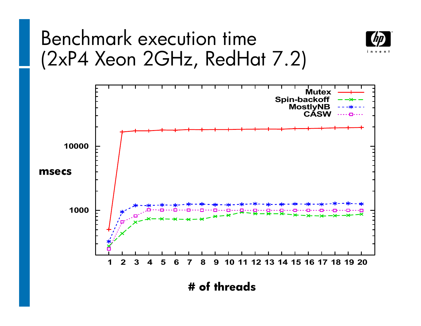#### Benchmark execution time (2xP4 Xeon 2GHz, RedHat 7.2)





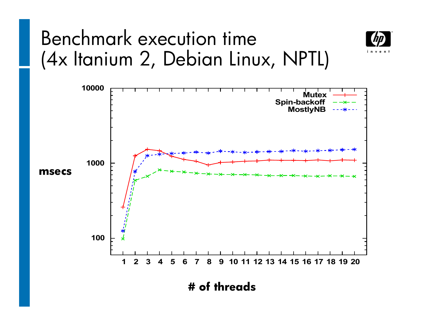#### Benchmark execution time (4x Itanium 2, Debian Linux, NPTL)





**# of threads**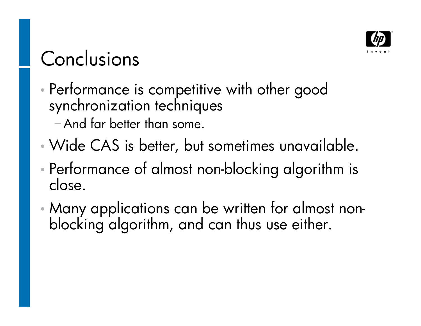

### Conclusions

 Performance is competitive with other good synchronization techniques And far better than some.

- Wide CAS is better, but sometimes unavailable.
- Performance of almost non-blocking algorithm is close.
- Many applications can be written for almost nonblocking algorithm, and can thus use either.